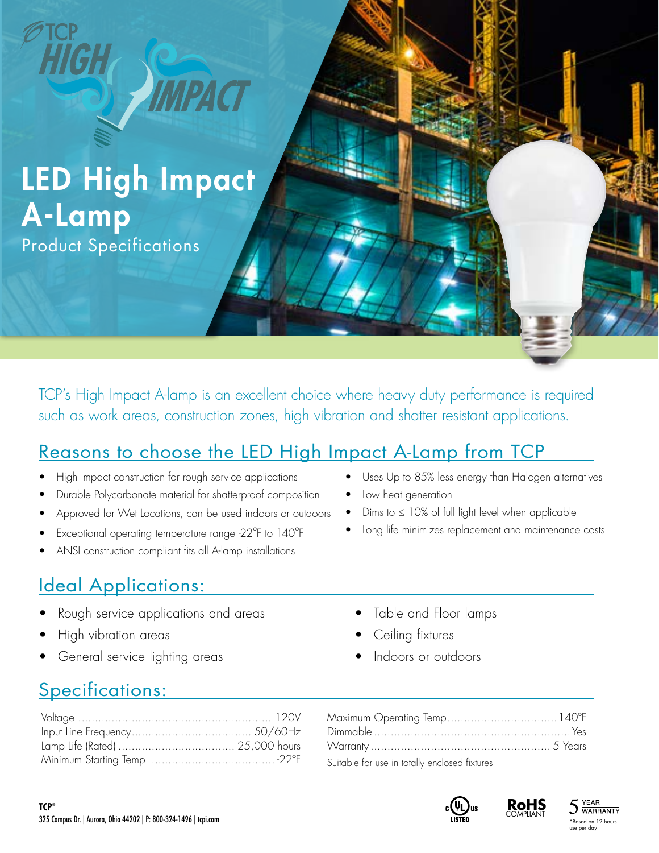# LED High Impact A-Lamp

Product Specifications

TCP's High Impact A-lamp is an excellent choice where heavy duty performance is required such as work areas, construction zones, high vibration and shatter resistant applications.

#### Reasons to choose the LED High Impact A-Lamp from TCP

- High Impact construction for rough service applications
- Durable Polycarbonate material for shatterproof composition
- Approved for Wet Locations, can be used indoors or outdoors
- Exceptional operating temperature range -22ºF to 140ºF
- ANSI construction compliant fits all A-lamp installations

## **Ideal Applications:**

- Rough service applications and areas
- High vibration areas
- General service lighting areas
- Uses Up to 85% less energy than Halogen alternatives
- Low heat generation
- Dims to  $\leq$  10% of full light level when applicable
- Long life minimizes replacement and maintenance costs
	- Table and Floor lamps
	- Ceiling fixtures
	- Indoors or outdoors

## Specifications:

| Suitable for use in totally enclosed fixtures |  |
|-----------------------------------------------|--|